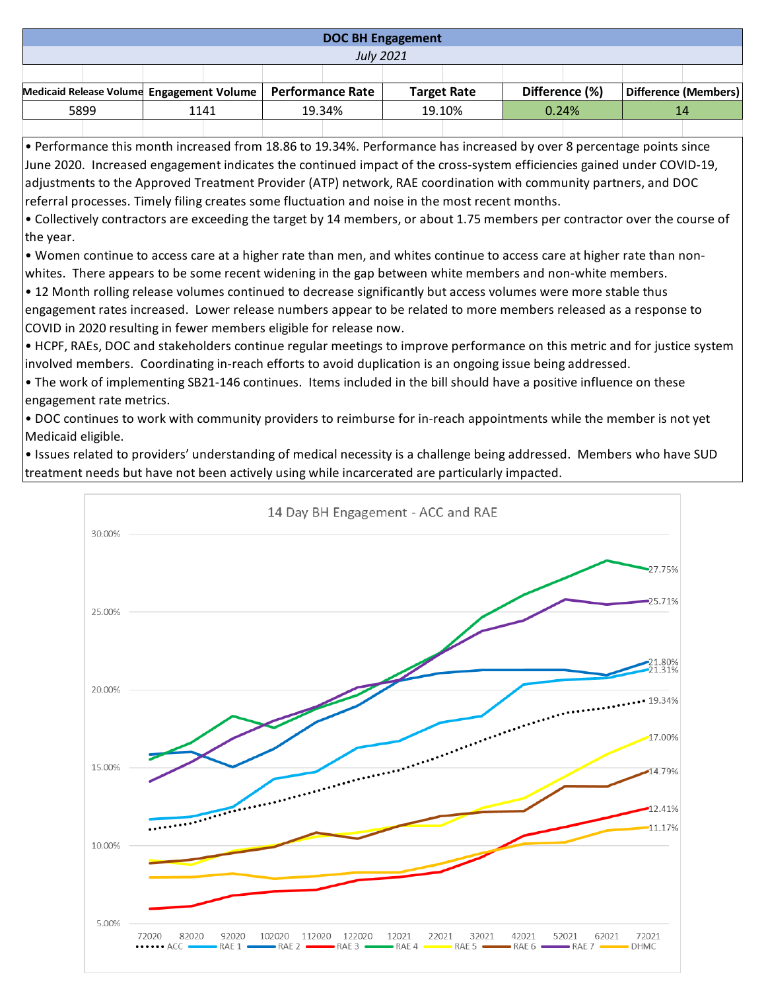## **DOC BH Engagement**

*July 2021*

|      | Medicaid Release Volume Engagement Volume   Performance Rate |      |  |        |  |        | <b>Target Rate</b> |          | Difference (%) |  | Difference (Members) |
|------|--------------------------------------------------------------|------|--|--------|--|--------|--------------------|----------|----------------|--|----------------------|
| 5899 |                                                              | 1141 |  | 19.34% |  | 19.10% |                    | $0.24\%$ |                |  |                      |
|      |                                                              |      |  |        |  |        |                    |          |                |  |                      |

• Performance this month increased from 18.86 to 19.34%. Performance has increased by over 8 percentage points since June 2020. Increased engagement indicates the continued impact of the cross-system efficiencies gained under COVID-19, adjustments to the Approved Treatment Provider (ATP) network, RAE coordination with community partners, and DOC referral processes. Timely filing creates some fluctuation and noise in the most recent months.

• Collectively contractors are exceeding the target by 14 members, or about 1.75 members per contractor over the course of the year.

• Women continue to access care at a higher rate than men, and whites continue to access care at higher rate than nonwhites. There appears to be some recent widening in the gap between white members and non-white members.

• 12 Month rolling release volumes continued to decrease significantly but access volumes were more stable thus engagement rates increased. Lower release numbers appear to be related to more members released as a response to COVID in 2020 resulting in fewer members eligible for release now.

• HCPF, RAEs, DOC and stakeholders continue regular meetings to improve performance on this metric and for justice system involved members. Coordinating in-reach efforts to avoid duplication is an ongoing issue being addressed.

• The work of implementing SB21-146 continues. Items included in the bill should have a positive influence on these engagement rate metrics.

• DOC continues to work with community providers to reimburse for in-reach appointments while the member is not yet Medicaid eligible.

• Issues related to providers' understanding of medical necessity is a challenge being addressed. Members who have SUD treatment needs but have not been actively using while incarcerated are particularly impacted.

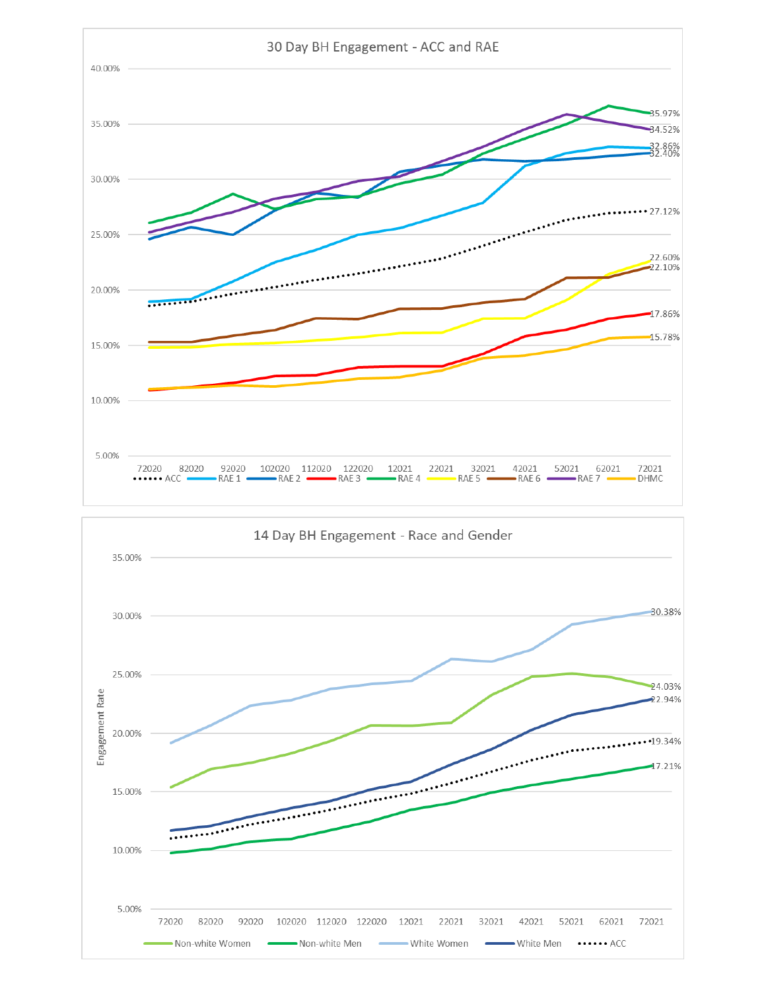